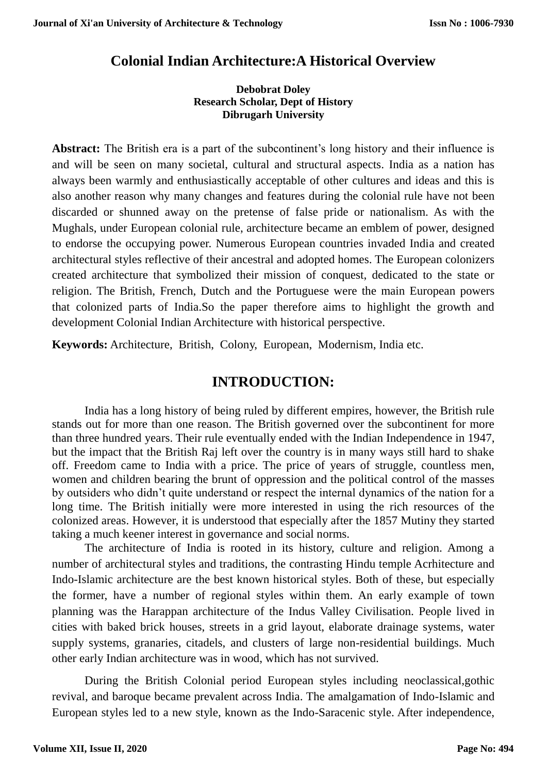# **Colonial Indian Architecture:A Historical Overview**

#### **Debobrat Doley Research Scholar, Dept of History Dibrugarh University**

**Abstract:** The British era is a part of the subcontinent's long history and their influence is and will be seen on many societal, cultural and structural aspects. India as a nation has always been warmly and enthusiastically acceptable of other cultures and ideas and this is also another reason why many changes and features during the colonial rule have not been discarded or shunned away on the pretense of false pride or nationalism. As with the Mughals, under European colonial rule, architecture became an emblem of power, designed to endorse the occupying power. Numerous European countries invaded India and created architectural styles reflective of their ancestral and adopted homes. The European colonizers created architecture that symbolized their mission of conquest, dedicated to the state or religion. The British, French, Dutch and the Portuguese were the main European powers that colonized parts of India.So the paper therefore aims to highlight the growth and development Colonial Indian Architecture with historical perspective.

**Keywords:** Architecture, British, Colony, European, Modernism, India etc.

### **INTRODUCTION:**

India has a long history of being ruled by different empires, however, the British rule stands out for more than one reason. The British governed over the subcontinent for more than three hundred years. Their rule eventually ended with the Indian Independence in 1947, but the impact that the British Raj left over the country is in many ways still hard to shake off. Freedom came to India with a price. The price of years of struggle, countless men, women and children bearing the brunt of oppression and the political control of the masses by outsiders who didn't quite understand or respect the internal dynamics of the nation for a long time. The British initially were more interested in using the rich resources of the colonized areas. However, it is understood that especially after the 1857 Mutiny they started taking a much keener interest in governance and social norms.

The architecture of India is rooted in its history, culture and religion. Among a number of architectural styles and traditions, the contrasting Hindu temple Acrhitecture and [Indo-Islamic architecture](https://en.wikipedia.org/wiki/Indo-Islamic_architecture) are the best known historical styles. Both of these, but especially the former, have a number of regional styles within them. An early example of town planning was the Harappan architecture of the Indus Valley Civilisation. People lived in cities with baked brick houses, streets in a grid layout, elaborate drainage systems, water supply systems, granaries, citadels, and clusters of large non-residential buildings. Much other early Indian architecture was in wood, which has not survived.

During the British Colonial period European styles including neoclassical,gothic revival, and baroque became prevalent across India. The amalgamation of Indo-Islamic and European styles led to a new style, known as the Indo-Saracenic style. After independence,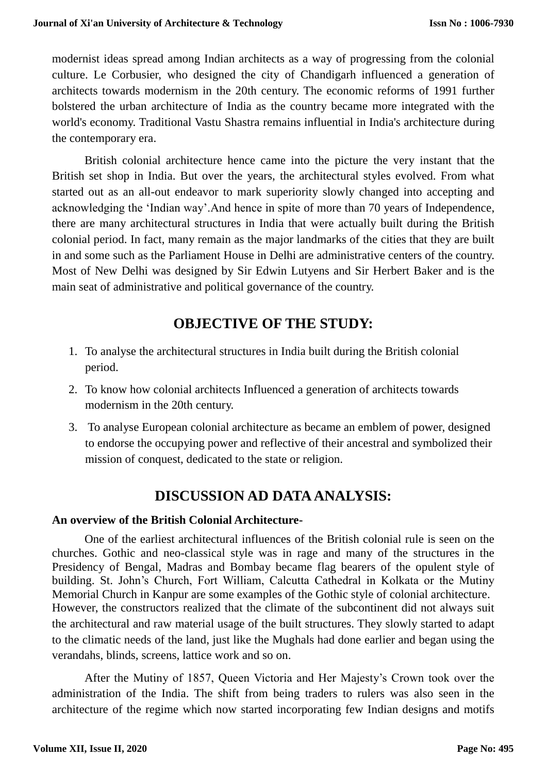modernist ideas spread among Indian architects as a way of progressing from the colonial culture. Le Corbusier, who designed the city of Chandigarh influenced a generation of architects towards modernism in the 20th century. The economic reforms of 1991 further bolstered the urban architecture of India as the country became more integrated with the world's economy. Traditional Vastu Shastra remains influential in India's architecture during the contemporary era.

British colonial architecture hence came into the picture the very instant that the British set shop in India. But over the years, the architectural styles evolved. From what started out as an all-out endeavor to mark superiority slowly changed into accepting and acknowledging the 'Indian way'.And hence in spite of more than 70 years of Independence, there are many architectural structures in India that were actually built during the British colonial period. In fact, many remain as the major landmarks of the cities that they are built in and some such as the Parliament House in Delhi are administrative centers of the country. Most of New Delhi was designed by Sir Edwin Lutyens and Sir Herbert Baker and is the main seat of administrative and political governance of the country.

# **OBJECTIVE OF THE STUDY:**

- 1. To analyse the architectural structures in India built during the British colonial period.
- 2. To know how colonial architects Influenced a generation of architects towards modernism in the 20th century.
- 3. To analyse European colonial architecture as became an emblem of power, designed to endorse the occupying power and reflective of their ancestral and symbolized their mission of conquest, dedicated to the state or religion.

# **DISCUSSION AD DATA ANALYSIS:**

#### **An overview of the British Colonial Architecture-**

One of the earliest architectural influences of the British colonial rule is seen on the churches. Gothic and neo-classical style was in rage and many of the structures in the Presidency of Bengal, Madras and Bombay became flag bearers of the opulent style of building. St. John's Church, Fort William, Calcutta Cathedral in Kolkata or the Mutiny Memorial Church in Kanpur are some examples of the Gothic style of colonial architecture. However, the constructors realized that the climate of the subcontinent did not always suit the architectural and raw material usage of the built structures. They slowly started to adapt to the climatic needs of the land, just like the Mughals had done earlier and began using the verandahs, blinds, screens, lattice work and so on.

After the Mutiny of 1857, Queen Victoria and Her Majesty's Crown took over the administration of the India. The shift from being traders to rulers was also seen in the architecture of the regime which now started incorporating few Indian designs and motifs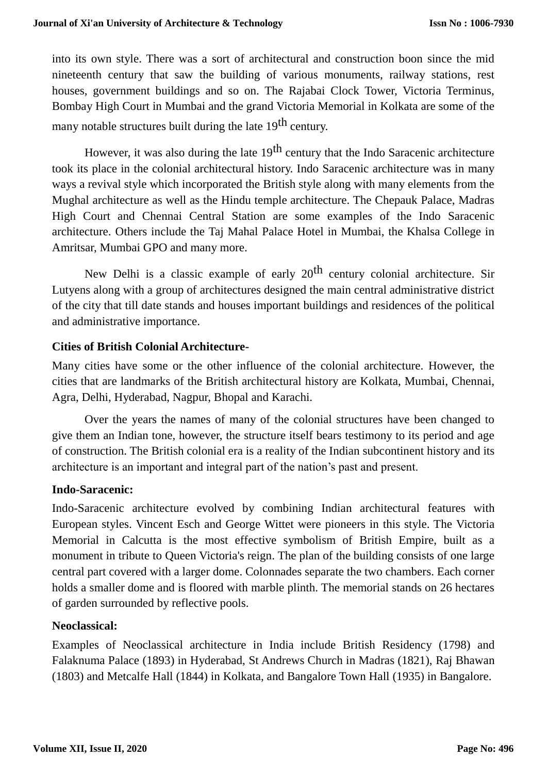into its own style. There was a sort of architectural and construction boon since the mid nineteenth century that saw the building of various monuments, railway stations, rest houses, government buildings and so on. The Rajabai Clock Tower, Victoria Terminus, Bombay High Court in Mumbai and the grand Victoria Memorial in Kolkata are some of the many notable structures built during the late 19<sup>th</sup> century.

However, it was also during the late  $19<sup>th</sup>$  century that the Indo Saracenic architecture took its place in the colonial architectural history. Indo Saracenic architecture was in many ways a revival style which incorporated the British style along with many elements from the Mughal architecture as well as the Hindu temple architecture. The Chepauk Palace, Madras High Court and Chennai Central Station are some examples of the Indo Saracenic architecture. Others include the Taj Mahal Palace Hotel in Mumbai, the Khalsa College in Amritsar, Mumbai GPO and many more.

New Delhi is a classic example of early  $20<sup>th</sup>$  century colonial architecture. Sir Lutyens along with a group of architectures designed the main central administrative district of the city that till date stands and houses important buildings and residences of the political and administrative importance.

#### **Cities of British Colonial Architecture-**

Many cities have some or the other influence of the colonial architecture. However, the cities that are landmarks of the British architectural history are Kolkata, Mumbai, Chennai, Agra, Delhi, Hyderabad, Nagpur, Bhopal and Karachi.

Over the years the names of many of the colonial structures have been changed to give them an Indian tone, however, the structure itself bears testimony to its period and age of construction. The British colonial era is a reality of the Indian subcontinent history and its architecture is an important and integral part of the nation's past and present.

#### **Indo-Saracenic:**

[Indo-Saracenic architecture](https://en.wikipedia.org/wiki/Indo-Saracenic_architecture) evolved by combining Indian architectural features with European styles. [Vincent Esch](https://en.wikipedia.org/wiki/Vincent_Esch) and [George Wittet](https://en.wikipedia.org/wiki/George_Wittet) were pioneers in this style. The [Victoria](https://en.wikipedia.org/wiki/Victoria_Memorial,_Kolkata)  [Memorial](https://en.wikipedia.org/wiki/Victoria_Memorial,_Kolkata) in Calcutta is the most effective symbolism of British Empire, built as a monument in tribute to Queen Victoria's reign. The plan of the building consists of one large central part covered with a larger dome. Colonnades separate the two chambers. Each corner holds a smaller dome and is floored with marble plinth. The memorial stands on 26 hectares of garden surrounded by reflective pools.

#### **Neoclassical:**

Examples of [Neoclassical](https://en.wikipedia.org/wiki/Neoclassical_architecture) architecture in India include [British Residency](https://en.wikipedia.org/wiki/British_Residency,_Hyderabad) (1798) and [Falaknuma Palace](https://en.wikipedia.org/wiki/Falaknuma_Palace) (1893) in Hyderabad, [St Andrews Church](https://en.wikipedia.org/wiki/St_Andrew) in Madras (1821), Raj [Bhawan](https://en.wikipedia.org/wiki/Raj_Bhavan,_Kolkata) (1803) and [Metcalfe Hall](https://en.wikipedia.org/wiki/Metcalfe_Hall) (1844) in Kolkata, and [Bangalore Town Hall](https://en.wikipedia.org/wiki/Bangalore_Town_Hall) (1935) in Bangalore.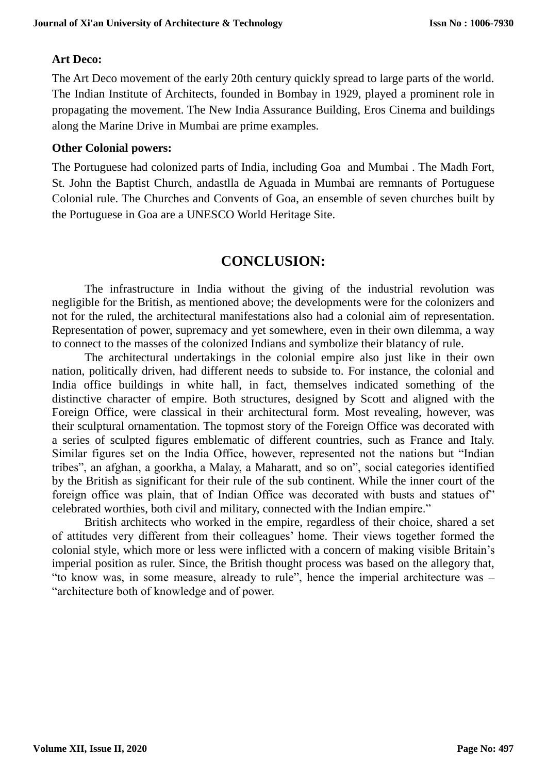#### **Art Deco:**

The [Art Deco](https://en.wikipedia.org/wiki/Art_Deco) movement of the early 20th century quickly spread to large parts of the world. The [Indian Institute of Architects,](https://en.wikipedia.org/wiki/Indian_Institute_of_Architects) founded in Bombay in 1929, played a prominent role in propagating the movement. The [New India Assurance Building,](https://en.wikipedia.org/wiki/New_India_Assurance_Building) [Eros Cinema](https://en.wikipedia.org/wiki/Eros_Cinema) and buildings along the [Marine Drive](https://en.wikipedia.org/wiki/Marine_Drive,_Mumbai) in Mumbai are prime examples.

#### **Other Colonial powers:**

The Portuguese had [colonized parts of India,](https://en.wikipedia.org/wiki/Portuguese_India) including Goa and Mumbai . The Madh Fort, [St. John the Baptist Church,](https://en.wikipedia.org/wiki/St._John_the_Baptist_Church,_Mumbai) andastlla de Aguada in Mumbai are remnants of Portuguese Colonial rule. The [Churches and Convents of Goa,](https://en.wikipedia.org/wiki/Churches_and_convents_of_Goa) an ensemble of seven churches built by the Portuguese in Goa are a [UNESCO World Heritage Site.](https://en.wikipedia.org/wiki/World_Heritage_Site)

## **CONCLUSION:**

The infrastructure in India without the giving of the industrial revolution was negligible for the British, as mentioned above; the developments were for the colonizers and not for the ruled, the architectural manifestations also had a colonial aim of representation. Representation of power, supremacy and yet somewhere, even in their own dilemma, a way to connect to the masses of the colonized Indians and symbolize their blatancy of rule.

The architectural undertakings in the colonial empire also just like in their own nation, politically driven, had different needs to subside to. For instance, the colonial and India office buildings in white hall, in fact, themselves indicated something of the distinctive character of empire. Both structures, designed by Scott and aligned with the Foreign Office, were classical in their architectural form. Most revealing, however, was their sculptural ornamentation. The topmost story of the Foreign Office was decorated with a series of sculpted figures emblematic of different countries, such as France and Italy. Similar figures set on the India Office, however, represented not the nations but "Indian tribes", an afghan, a goorkha, a Malay, a Maharatt, and so on", social categories identified by the British as significant for their rule of the sub continent. While the inner court of the foreign office was plain, that of Indian Office was decorated with busts and statues of" celebrated worthies, both civil and military, connected with the Indian empire."

British architects who worked in the empire, regardless of their choice, shared a set of attitudes very different from their colleagues' home. Their views together formed the colonial style, which more or less were inflicted with a concern of making visible Britain's imperial position as ruler. Since, the British thought process was based on the allegory that, "to know was, in some measure, already to rule", hence the imperial architecture was – "architecture both of knowledge and of power.